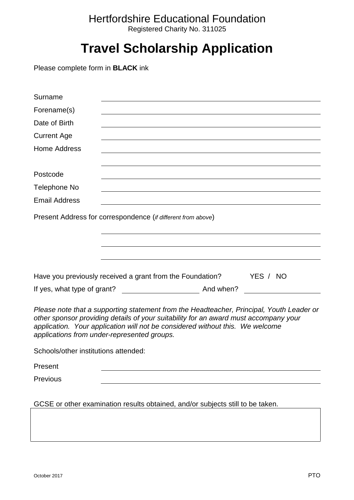## Hertfordshire Educational Foundation Registered Charity No. 311025

## **Travel Scholarship Application**

Please complete form in **BLACK** ink

| Surname                              |                                                                                                                                                                                                                                                                                                                  |
|--------------------------------------|------------------------------------------------------------------------------------------------------------------------------------------------------------------------------------------------------------------------------------------------------------------------------------------------------------------|
| Forename(s)                          |                                                                                                                                                                                                                                                                                                                  |
| Date of Birth                        |                                                                                                                                                                                                                                                                                                                  |
| <b>Current Age</b>                   |                                                                                                                                                                                                                                                                                                                  |
| Home Address                         |                                                                                                                                                                                                                                                                                                                  |
|                                      |                                                                                                                                                                                                                                                                                                                  |
| Postcode                             |                                                                                                                                                                                                                                                                                                                  |
| Telephone No                         |                                                                                                                                                                                                                                                                                                                  |
| <b>Email Address</b>                 |                                                                                                                                                                                                                                                                                                                  |
|                                      | Present Address for correspondence (if different from above)                                                                                                                                                                                                                                                     |
|                                      |                                                                                                                                                                                                                                                                                                                  |
|                                      |                                                                                                                                                                                                                                                                                                                  |
|                                      |                                                                                                                                                                                                                                                                                                                  |
|                                      |                                                                                                                                                                                                                                                                                                                  |
|                                      | YES / NO<br>Have you previously received a grant from the Foundation?                                                                                                                                                                                                                                            |
| If yes, what type of grant?          | <b>Example 2018</b> And when?                                                                                                                                                                                                                                                                                    |
|                                      | Please note that a supporting statement from the Headteacher, Principal, Youth Leader or<br>other sponsor providing details of your suitability for an award must accompany your<br>application. Your application will not be considered without this. We welcome<br>applications from under-represented groups. |
| Schools/other institutions attended: |                                                                                                                                                                                                                                                                                                                  |
| Present                              |                                                                                                                                                                                                                                                                                                                  |
| Previous                             |                                                                                                                                                                                                                                                                                                                  |
|                                      | GCSE or other examination results obtained, and/or subjects still to be taken.                                                                                                                                                                                                                                   |
|                                      |                                                                                                                                                                                                                                                                                                                  |
|                                      |                                                                                                                                                                                                                                                                                                                  |